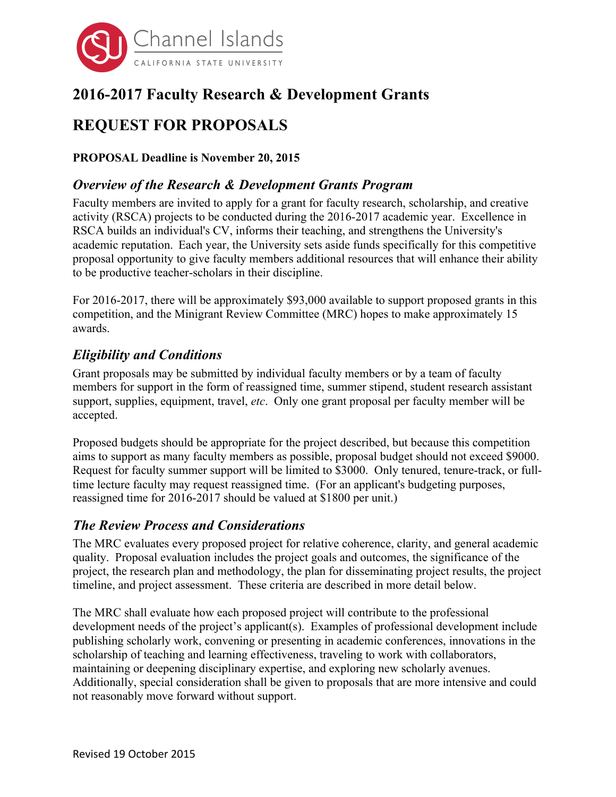

# **2016-2017 Faculty Research & Development Grants**

# **REQUEST FOR PROPOSALS**

**PROPOSAL Deadline is November 20, 2015**

## *Overview of the Research & Development Grants Program*

Faculty members are invited to apply for a grant for faculty research, scholarship, and creative activity (RSCA) projects to be conducted during the 2016-2017 academic year. Excellence in RSCA builds an individual's CV, informs their teaching, and strengthens the University's academic reputation. Each year, the University sets aside funds specifically for this competitive proposal opportunity to give faculty members additional resources that will enhance their ability to be productive teacher-scholars in their discipline.

For 2016-2017, there will be approximately \$93,000 available to support proposed grants in this competition, and the Minigrant Review Committee (MRC) hopes to make approximately 15 awards.

#### *Eligibility and Conditions*

Grant proposals may be submitted by individual faculty members or by a team of faculty members for support in the form of reassigned time, summer stipend, student research assistant support, supplies, equipment, travel, *etc*. Only one grant proposal per faculty member will be accepted.

Proposed budgets should be appropriate for the project described, but because this competition aims to support as many faculty members as possible, proposal budget should not exceed \$9000. Request for faculty summer support will be limited to \$3000. Only tenured, tenure-track, or fulltime lecture faculty may request reassigned time. (For an applicant's budgeting purposes, reassigned time for 2016-2017 should be valued at \$1800 per unit.)

### *The Review Process and Considerations*

The MRC evaluates every proposed project for relative coherence, clarity, and general academic quality. Proposal evaluation includes the project goals and outcomes, the significance of the project, the research plan and methodology, the plan for disseminating project results, the project timeline, and project assessment. These criteria are described in more detail below.

The MRC shall evaluate how each proposed project will contribute to the professional development needs of the project's applicant(s). Examples of professional development include publishing scholarly work, convening or presenting in academic conferences, innovations in the scholarship of teaching and learning effectiveness, traveling to work with collaborators, maintaining or deepening disciplinary expertise, and exploring new scholarly avenues. Additionally, special consideration shall be given to proposals that are more intensive and could not reasonably move forward without support.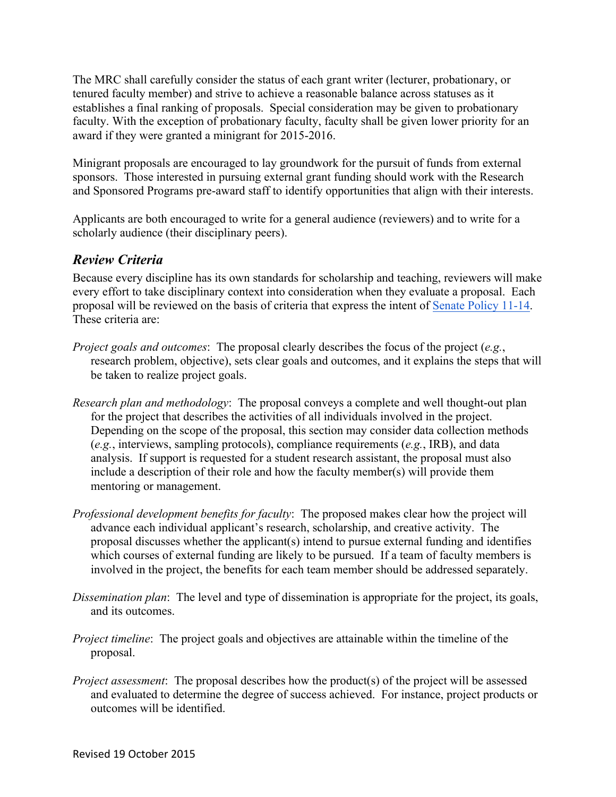The MRC shall carefully consider the status of each grant writer (lecturer, probationary, or tenured faculty member) and strive to achieve a reasonable balance across statuses as it establishes a final ranking of proposals. Special consideration may be given to probationary faculty. With the exception of probationary faculty, faculty shall be given lower priority for an award if they were granted a minigrant for 2015-2016.

Minigrant proposals are encouraged to lay groundwork for the pursuit of funds from external sponsors. Those interested in pursuing external grant funding should work with the Research and Sponsored Programs pre-award staff to identify opportunities that align with their interests.

Applicants are both encouraged to write for a general audience (reviewers) and to write for a scholarly audience (their disciplinary peers).

### *Review Criteria*

Because every discipline has its own standards for scholarship and teaching, reviewers will make every effort to take disciplinary context into consideration when they evaluate a proposal. Each proposal will be reviewed on the basis of criteria that express the intent of Senate Policy 11-14. These criteria are:

- *Project goals and outcomes*: The proposal clearly describes the focus of the project (*e.g.*, research problem, objective), sets clear goals and outcomes, and it explains the steps that will be taken to realize project goals.
- *Research plan and methodology*: The proposal conveys a complete and well thought-out plan for the project that describes the activities of all individuals involved in the project. Depending on the scope of the proposal, this section may consider data collection methods (*e.g.*, interviews, sampling protocols), compliance requirements (*e.g.*, IRB), and data analysis. If support is requested for a student research assistant, the proposal must also include a description of their role and how the faculty member(s) will provide them mentoring or management.
- *Professional development benefits for faculty*: The proposed makes clear how the project will advance each individual applicant's research, scholarship, and creative activity. The proposal discusses whether the applicant(s) intend to pursue external funding and identifies which courses of external funding are likely to be pursued. If a team of faculty members is involved in the project, the benefits for each team member should be addressed separately.
- *Dissemination plan*: The level and type of dissemination is appropriate for the project, its goals, and its outcomes.
- *Project timeline*: The project goals and objectives are attainable within the timeline of the proposal.
- *Project assessment*: The proposal describes how the product(s) of the project will be assessed and evaluated to determine the degree of success achieved. For instance, project products or outcomes will be identified.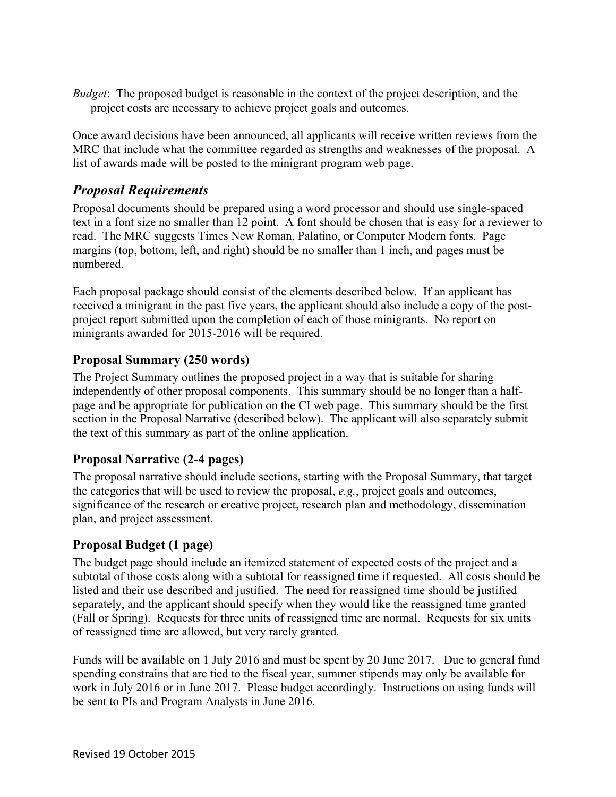*Budget*: The proposed budget is reasonable in the context of the project description, and the project costs are necessary to achieve project goals and outcomes.

Once award decisions have been announced, all applicants will receive written reviews from the MRC that include what the committee regarded as strengths and weaknesses of the proposal. A list of awards made will be posted to the minigrant program web page.

## *Proposal Requirements*

Proposal documents should be prepared using a word processor and should use single-spaced text in a font size no smaller than 12 point. A font should be chosen that is easy for a reviewer to read. The MRC suggests Times New Roman, Palatino, or Computer Modern fonts. Page margins (top, bottom, left, and right) should be no smaller than 1 inch, and pages must be numbered.

Each proposal package should consist of the elements described below. If an applicant has received a minigrant in the past five years, the applicant should also include a copy of the postproject report submitted upon the completion of each of those minigrants. No report on minigrants awarded for 2015-2016 will be required.

#### **Proposal Summary (250 words)**

The Project Summary outlines the proposed project in a way that is suitable for sharing independently of other proposal components. This summary should be no longer than a halfpage and be appropriate for publication on the CI web page. This summary should be the first section in the Proposal Narrative (described below). The applicant will also separately submit the text of this summary as part of the online application.

#### **Proposal Narrative (2-4 pages)**

The proposal narrative should include sections, starting with the Proposal Summary, that target the categories that will be used to review the proposal, *e.g.*, project goals and outcomes, significance of the research or creative project, research plan and methodology, dissemination plan, and project assessment.

#### **Proposal Budget (1 page)**

The budget page should include an itemized statement of expected costs of the project and a subtotal of those costs along with a subtotal for reassigned time if requested. All costs should be listed and their use described and justified. The need for reassigned time should be justified separately, and the applicant should specify when they would like the reassigned time granted (Fall or Spring). Requests for three units of reassigned time are normal. Requests for six units of reassigned time are allowed, but very rarely granted.

Funds will be available on 1 July 2016 and must be spent by 20 June 2017. Due to general fund spending constrains that are tied to the fiscal year, summer stipends may only be available for work in July 2016 or in June 2017. Please budget accordingly. Instructions on using funds will be sent to PIs and Program Analysts in June 2016.